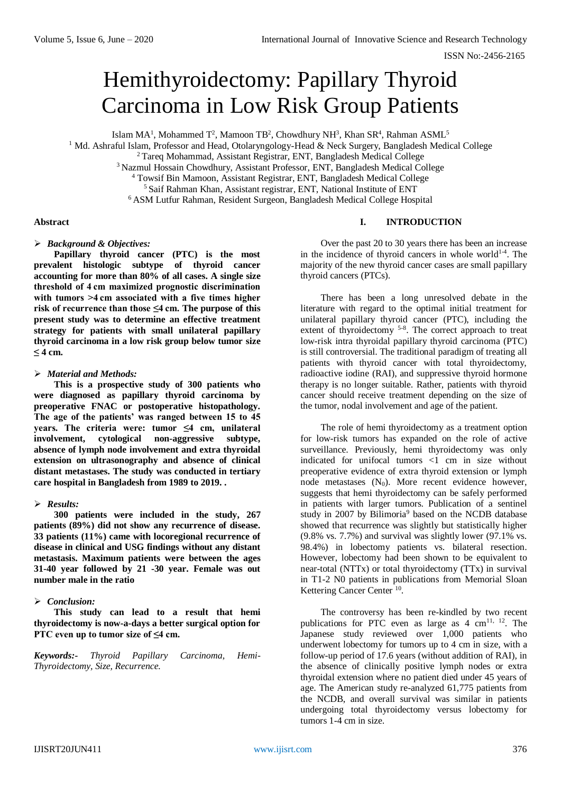# Hemithyroidectomy: Papillary Thyroid Carcinoma in Low Risk Group Patients

Islam MA<sup>1</sup>, Mohammed T<sup>2</sup>, Mamoon TB<sup>2</sup>, Chowdhury NH<sup>3</sup>, Khan SR<sup>4</sup>, Rahman ASML<sup>5</sup>

<sup>1</sup> Md. Ashraful Islam, Professor and Head, Otolaryngology-Head & Neck Surgery, Bangladesh Medical College

<sup>2</sup>Tareq Mohammad, Assistant Registrar, ENT, Bangladesh Medical College

<sup>3</sup> Nazmul Hossain Chowdhury, Assistant Professor, ENT, Bangladesh Medical College

<sup>4</sup> Towsif Bin Mamoon, Assistant Registrar, ENT, Bangladesh Medical College

<sup>5</sup> Saif Rahman Khan, Assistant registrar, ENT, National Institute of ENT

<sup>6</sup>ASM Lutfur Rahman, Resident Surgeon, Bangladesh Medical College Hospital

#### **Abstract**

#### *Background & Objectives:*

**Papillary thyroid cancer (PTC) is the most prevalent histologic subtype of thyroid cancer accounting for more than 80% of all cases. A single size threshold of 4 cm maximized prognostic discrimination with tumors >4 cm associated with a five times higher risk of recurrence than those ≤4 cm. The purpose of this present study was to determine an effective treatment strategy for patients with small unilateral papillary thyroid carcinoma in a low risk group below tumor size ≤ 4 cm.** 

# *Material and Methods:*

**This is a prospective study of 300 patients who were diagnosed as papillary thyroid carcinoma by preoperative FNAC or postoperative histopathology. The age of the patients' was ranged between 15 to 45 years. The criteria were: tumor ≤4 cm, unilateral involvement, cytological non-aggressive subtype, absence of lymph node involvement and extra thyroidal extension on ultrasonography and absence of clinical distant metastases. The study was conducted in tertiary care hospital in Bangladesh from 1989 to 2019. .** 

# *Results:*

**300 patients were included in the study, 267 patients (89%) did not show any recurrence of disease. 33 patients (11%) came with locoregional recurrence of disease in clinical and USG findings without any distant metastasis. Maximum patients were between the ages 31-40 year followed by 21 -30 year. Female was out number male in the ratio** 

# *Conclusion:*

**This study can lead to a result that hemi thyroidectomy is now-a-days a better surgical option for PTC even up to tumor size of ≤4 cm.**

*Keywords:- Thyroid Papillary Carcinoma, Hemi-Thyroidectomy, Size, Recurrence.*

#### **I. INTRODUCTION**

Over the past 20 to 30 years there has been an increase in the incidence of thyroid cancers in whole world<sup>1-4</sup>. The majority of the new thyroid cancer cases are small papillary thyroid cancers (PTCs).

There has been a long unresolved debate in the literature with regard to the optimal initial treatment for unilateral papillary thyroid cancer (PTC), including the extent of thyroidectomy <sup>5-8</sup>. The correct approach to treat low-risk intra thyroidal papillary thyroid carcinoma (PTC) is still controversial. The traditional paradigm of treating all patients with thyroid cancer with total thyroidectomy, radioactive iodine (RAI), and suppressive thyroid hormone therapy is no longer suitable. Rather, patients with thyroid cancer should receive treatment depending on the size of the tumor, nodal involvement and age of the patient.

The role of hemi thyroidectomy as a treatment option for low-risk tumors has expanded on the role of active surveillance. Previously, hemi thyroidectomy was only indicated for unifocal tumors <1 cm in size without preoperative evidence of extra thyroid extension or lymph node metastases  $(N_0)$ . More recent evidence however, suggests that hemi thyroidectomy can be safely performed in patients with larger tumors. Publication of a sentinel study in 2007 by Bilimoria<sup>9</sup> based on the NCDB database showed that recurrence was slightly but statistically higher (9.8% vs. 7.7%) and survival was slightly lower (97.1% vs. 98.4%) in lobectomy patients vs. bilateral resection. However, lobectomy had been shown to be equivalent to near-total (NTTx) or total thyroidectomy (TTx) in survival in T1-2 N0 patients in publications from Memorial Sloan Kettering Cancer Center<sup>10</sup>.

The controversy has been re-kindled by two recent publications for PTC even as large as  $4 \text{ cm}^{11,12}$ . The Japanese study reviewed over 1,000 patients who underwent lobectomy for tumors up to 4 cm in size, with a follow-up period of 17.6 years (without addition of RAI), in the absence of clinically positive lymph nodes or extra thyroidal extension where no patient died under 45 years of age. The American study re-analyzed 61,775 patients from the NCDB, and overall survival was similar in patients undergoing total thyroidectomy versus lobectomy for tumors 1-4 cm in size.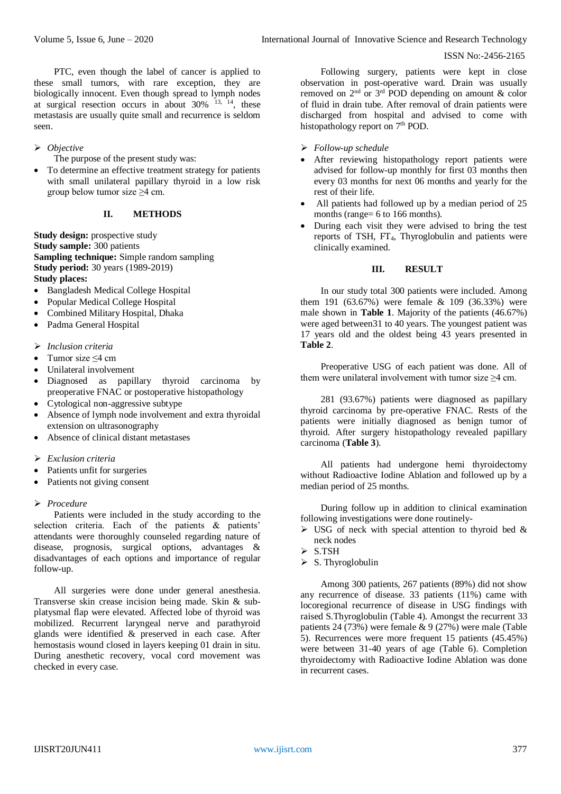#### ISSN No:-2456-2165

PTC, even though the label of cancer is applied to these small tumors, with rare exception, they are biologically innocent. Even though spread to lymph nodes at surgical resection occurs in about  $30\%$  <sup>13, 14</sup>, these metastasis are usually quite small and recurrence is seldom seen.

#### *Objective*

The purpose of the present study was:

 To determine an effective treatment strategy for patients with small unilateral papillary thyroid in a low risk group below tumor size  $\geq$ 4 cm.

#### **II. METHODS**

**Study design:** prospective study **Study sample:** 300 patients **Sampling technique:** Simple random sampling **Study period:** 30 years (1989-2019) **Study places:**

- Bangladesh Medical College Hospital
- Popular Medical College Hospital
- Combined Military Hospital, Dhaka
- Padma General Hospital
- *Inclusion criteria*
- Tumor size ≤4 cm
- Unilateral involvement
- Diagnosed as papillary thyroid carcinoma by preoperative FNAC or postoperative histopathology
- Cytological non-aggressive subtype
- Absence of lymph node involvement and extra thyroidal extension on ultrasonography
- Absence of clinical distant metastases
- *Exclusion criteria*
- Patients unfit for surgeries
- Patients not giving consent

#### *Procedure*

Patients were included in the study according to the selection criteria. Each of the patients & patients' attendants were thoroughly counseled regarding nature of disease, prognosis, surgical options, advantages & disadvantages of each options and importance of regular follow-up.

All surgeries were done under general anesthesia. Transverse skin crease incision being made. Skin & subplatysmal flap were elevated. Affected lobe of thyroid was mobilized. Recurrent laryngeal nerve and parathyroid glands were identified & preserved in each case. After hemostasis wound closed in layers keeping 01 drain in situ. During anesthetic recovery, vocal cord movement was checked in every case.

Following surgery, patients were kept in close observation in post-operative ward. Drain was usually removed on  $2<sup>nd</sup>$  or  $3<sup>rd</sup>$  POD depending on amount & color of fluid in drain tube. After removal of drain patients were discharged from hospital and advised to come with histopathology report on 7<sup>th</sup> POD.

- *Follow-up schedule*
- After reviewing histopathology report patients were advised for follow-up monthly for first 03 months then every 03 months for next 06 months and yearly for the rest of their life.
- All patients had followed up by a median period of 25 months (range= 6 to 166 months).
- During each visit they were advised to bring the test reports of TSH, FT<sub>4</sub>, Thyroglobulin and patients were clinically examined.

#### **III. RESULT**

In our study total 300 patients were included. Among them 191 (63.67%) were female & 109 (36.33%) were male shown in **Table 1**. Majority of the patients (46.67%) were aged between31 to 40 years. The youngest patient was 17 years old and the oldest being 43 years presented in **Table 2**.

Preoperative USG of each patient was done. All of them were unilateral involvement with tumor size  $\geq$ 4 cm.

281 (93.67%) patients were diagnosed as papillary thyroid carcinoma by pre-operative FNAC. Rests of the patients were initially diagnosed as benign tumor of thyroid. After surgery histopathology revealed papillary carcinoma (**Table 3**).

All patients had undergone hemi thyroidectomy without Radioactive Iodine Ablation and followed up by a median period of 25 months.

During follow up in addition to clinical examination following investigations were done routinely-

- $\triangleright$  USG of neck with special attention to thyroid bed & neck nodes
- $>$  S.TSH
- $\triangleright$  S. Thyroglobulin

Among 300 patients, 267 patients (89%) did not show any recurrence of disease. 33 patients (11%) came with locoregional recurrence of disease in USG findings with raised S.Thyroglobulin (Table 4). Amongst the recurrent 33 patients 24 (73%) were female & 9 (27%) were male (Table 5). Recurrences were more frequent 15 patients (45.45%) were between 31-40 years of age (Table 6). Completion thyroidectomy with Radioactive Iodine Ablation was done in recurrent cases.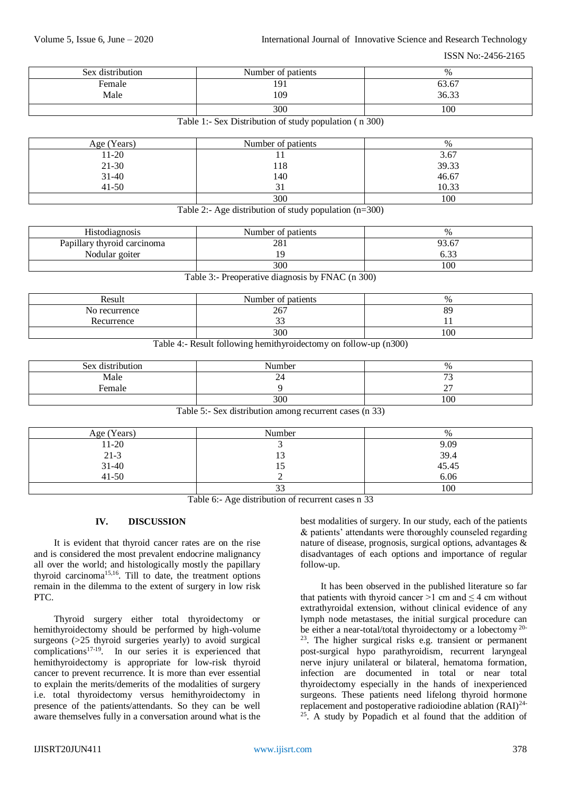Volume 5, Issue 6, June – 2020 **International Journal of Innovative Science and Research Technology** 

ISSN No:-2456-2165

| Sex distribution | Number of patients | %     |
|------------------|--------------------|-------|
| Female           | 191                | 63.67 |
| Male             | 109                | 36.33 |
|                  | 300                | 100   |

| Table 1:- Sex Distribution of study population (n 300) |  |  |  |
|--------------------------------------------------------|--|--|--|
|--------------------------------------------------------|--|--|--|

| Age (Years) | Number of patients | %     |
|-------------|--------------------|-------|
| $11-20$     |                    | 3.67  |
| $21 - 30$   | 118                | 39.33 |
| $31 - 40$   | 140                | 46.67 |
| $41 - 50$   |                    | 10.33 |
|             | 300                | 100   |

Table 2:- Age distribution of study population (n=300)

| <b>Histodiagnosis</b>       | Number of patients | $\%$           |
|-----------------------------|--------------------|----------------|
| Papillary thyroid carcinoma | 281                | 93.67          |
| Nodular goiter              | ۰Q                 | $\sim$<br>0.33 |
|                             | 300                | 100            |
|                             |                    | .              |

Table 3:- Preoperative diagnosis by FNAC (n 300)

| Result        | Number of patients | $\%$ |
|---------------|--------------------|------|
| No recurrence | 267                | 89   |
| Recurrence    | $\sim$<br>ر ر      |      |
|               | 300                | 100  |

Table 4:- Result following hemithyroidectomy on follow-up (n300)

| Sex distribution | Number | $\%$                |
|------------------|--------|---------------------|
| Male             | ~      | $\mathbf{a}$<br>ر ، |
| Female           |        | $\sim$<br>∼         |
|                  | 300    | 100                 |

Table 5:- Sex distribution among recurrent cases (n 33)

| Age (Years)              | Number | $\%$          |
|--------------------------|--------|---------------|
| $11 - 20$                |        | 9.09          |
|                          | IJ     | 39.4<br>45.45 |
| $21-3$<br>31-40<br>41-50 | L)     |               |
|                          |        | 6.06          |
|                          | دد     | 100           |

Table 6:- Age distribution of recurrent cases n 33

# **IV. DISCUSSION**

It is evident that thyroid cancer rates are on the rise and is considered the most prevalent endocrine malignancy all over the world; and histologically mostly the papillary thyroid carcinoma<sup>15,16</sup>. Till to date, the treatment options remain in the dilemma to the extent of surgery in low risk PTC.

Thyroid surgery either total thyroidectomy or hemithyroidectomy should be performed by high-volume surgeons (>25 thyroid surgeries yearly) to avoid surgical complications17-19. In our series it is experienced that hemithyroidectomy is appropriate for low-risk thyroid cancer to prevent recurrence. It is more than ever essential to explain the merits/demerits of the modalities of surgery i.e. total thyroidectomy versus hemithyroidectomy in presence of the patients/attendants. So they can be well aware themselves fully in a conversation around what is the best modalities of surgery. In our study, each of the patients & patients' attendants were thoroughly counseled regarding nature of disease, prognosis, surgical options, advantages & disadvantages of each options and importance of regular follow-up.

It has been observed in the published literature so far that patients with thyroid cancer >1 cm and  $\leq$  4 cm without extrathyroidal extension, without clinical evidence of any lymph node metastases, the initial surgical procedure can be either a near-total/total thyroidectomy or a lobectomy  $20$ -<sup>23</sup>. The higher surgical risks e.g. transient or permanent post-surgical hypo parathyroidism, recurrent laryngeal nerve injury unilateral or bilateral, hematoma formation, infection are documented in total or near total thyroidectomy especially in the hands of inexperienced surgeons. These patients need lifelong thyroid hormone replacement and postoperative radioiodine ablation (RAI)24-  $25$ . A study by Popadich et al found that the addition of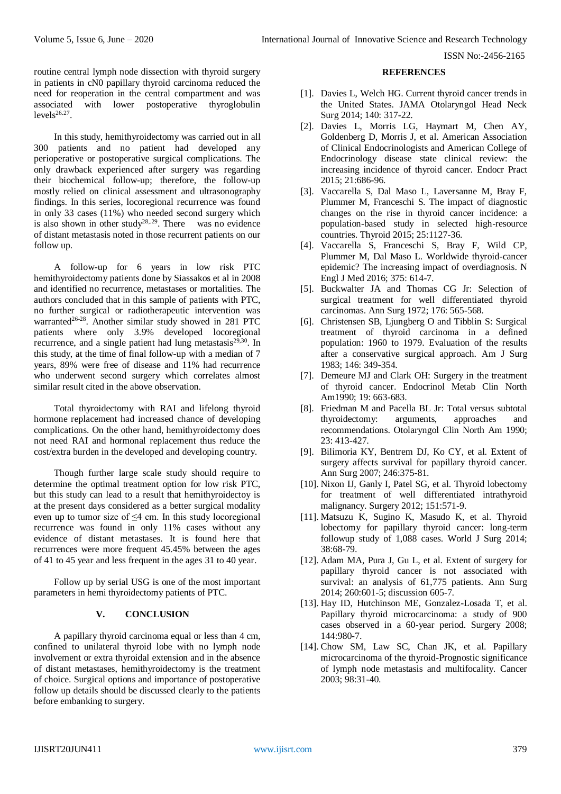ISSN No:-2456-2165

routine central lymph node dissection with thyroid surgery in patients in cN0 papillary thyroid carcinoma reduced the need for reoperation in the central compartment and was associated with lower postoperative thyroglobulin  $levels^{26.27}$ .

In this study, hemithyroidectomy was carried out in all 300 patients and no patient had developed any perioperative or postoperative surgical complications. The only drawback experienced after surgery was regarding their biochemical follow-up; therefore, the follow-up mostly relied on clinical assessment and ultrasonography findings. In this series, locoregional recurrence was found in only 33 cases (11%) who needed second surgery which is also shown in other study<sup>28,,29</sup>. There was no evidence of distant metastasis noted in those recurrent patients on our follow up.

A follow-up for 6 years in low risk PTC hemithyroidectomy patients done by Siassakos et al in 2008 and identified no recurrence, metastases or mortalities. The authors concluded that in this sample of patients with PTC, no further surgical or radiotherapeutic intervention was warranted<sup>26-28</sup>. Another similar study showed in 281 PTC patients where only 3.9% developed locoregional recurrence, and a single patient had lung metastasis $2^{9,30}$ . In this study, at the time of final follow-up with a median of 7 years, 89% were free of disease and 11% had recurrence who underwent second surgery which correlates almost similar result cited in the above observation.

Total thyroidectomy with RAI and lifelong thyroid hormone replacement had increased chance of developing complications. On the other hand, hemithyroidectomy does not need RAI and hormonal replacement thus reduce the cost/extra burden in the developed and developing country.

Though further large scale study should require to determine the optimal treatment option for low risk PTC, but this study can lead to a result that hemithyroidectoy is at the present days considered as a better surgical modality even up to tumor size of  $\leq$ 4 cm. In this study locoregional recurrence was found in only 11% cases without any evidence of distant metastases. It is found here that recurrences were more frequent 45.45% between the ages of 41 to 45 year and less frequent in the ages 31 to 40 year.

Follow up by serial USG is one of the most important parameters in hemi thyroidectomy patients of PTC.

# **V. CONCLUSION**

A papillary thyroid carcinoma equal or less than 4 cm, confined to unilateral thyroid lobe with no lymph node involvement or extra thyroidal extension and in the absence of distant metastases, hemithyroidectomy is the treatment of choice. Surgical options and importance of postoperative follow up details should be discussed clearly to the patients before embanking to surgery.

#### **REFERENCES**

- [1]. Davies L, Welch HG. Current thyroid cancer trends in the United States. JAMA Otolaryngol Head Neck Surg 2014; 140: 317-22.
- [2]. Davies L, Morris LG, Haymart M, Chen AY, Goldenberg D, Morris J, et al. American Association of Clinical Endocrinologists and American College of Endocrinology disease state clinical review: the increasing incidence of thyroid cancer. Endocr Pract 2015; 21:686-96.
- [3]. Vaccarella S, Dal Maso L, Laversanne M, Bray F, Plummer M, Franceschi S. The impact of diagnostic changes on the rise in thyroid cancer incidence: a population-based study in selected high-resource countries. Thyroid 2015; 25:1127-36.
- [4]. Vaccarella S, Franceschi S, Bray F, Wild CP, Plummer M, Dal Maso L. Worldwide thyroid-cancer epidemic? The increasing impact of overdiagnosis. N Engl J Med 2016; 375: 614-7.
- [5]. Buckwalter JA and Thomas CG Jr: Selection of surgical treatment for well differentiated thyroid carcinomas. Ann Surg 1972; 176: 565-568.
- [6]. Christensen SB, Ljungberg O and Tibblin S: Surgical treatment of thyroid carcinoma in a defined population: 1960 to 1979. Evaluation of the results after a conservative surgical approach. Am J Surg 1983; 146: 349-354.
- [7]. Demeure MJ and Clark OH: Surgery in the treatment of thyroid cancer. Endocrinol Metab Clin North Am1990; 19: 663-683.
- [8]. Friedman M and Pacella BL Jr: Total versus subtotal thyroidectomy: arguments, approaches and recommendations. Otolaryngol Clin North Am 1990; 23: 413-427.
- [9]. Bilimoria KY, Bentrem DJ, Ko CY, et al. Extent of surgery affects survival for papillary thyroid cancer. Ann Surg 2007; 246:375-81.
- [10]. Nixon IJ, Ganly I, Patel SG, et al. Thyroid lobectomy for treatment of well differentiated intrathyroid malignancy. Surgery 2012; 151:571-9.
- [11]. Matsuzu K, Sugino K, Masudo K, et al. Thyroid lobectomy for papillary thyroid cancer: long-term followup study of 1,088 cases. World J Surg 2014; 38:68-79.
- [12]. Adam MA, Pura J, Gu L, et al. Extent of surgery for papillary thyroid cancer is not associated with survival: an analysis of 61,775 patients. Ann Surg 2014; 260:601-5; discussion 605-7.
- [13]. Hay ID, Hutchinson ME, Gonzalez-Losada T, et al. Papillary thyroid microcarcinoma: a study of 900 cases observed in a 60-year period. Surgery 2008; 144:980-7.
- [14]. Chow SM, Law SC, Chan JK, et al. Papillary microcarcinoma of the thyroid-Prognostic significance of lymph node metastasis and multifocality. Cancer 2003; 98:31-40.